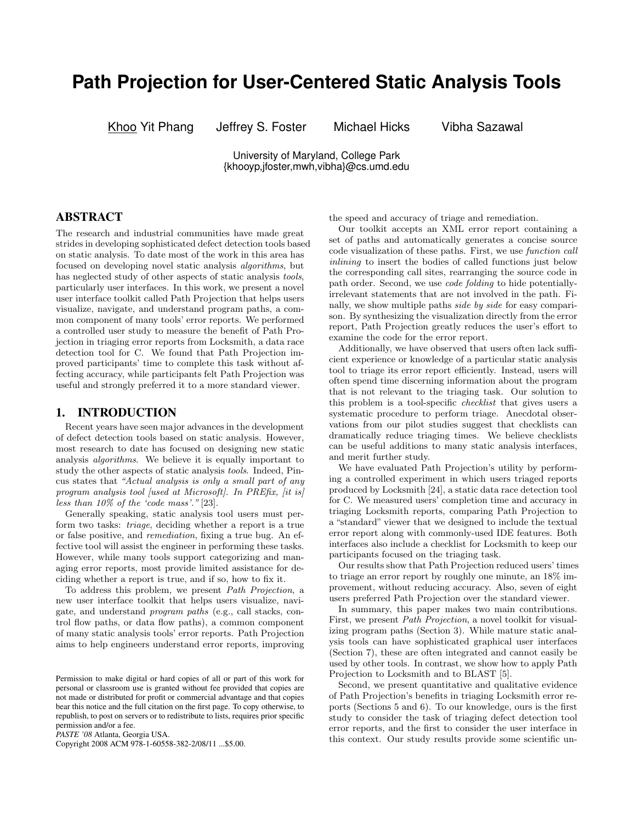# **Path Projection for User-Centered Static Analysis Tools**

Khoo Yit Phang Jeffrey S. Foster Michael Hicks Vibha Sazawal

University of Maryland, College Park {khooyp,jfoster,mwh,vibha}@cs.umd.edu

# ABSTRACT

The research and industrial communities have made great strides in developing sophisticated defect detection tools based on static analysis. To date most of the work in this area has focused on developing novel static analysis algorithms, but has neglected study of other aspects of static analysis tools, particularly user interfaces. In this work, we present a novel user interface toolkit called Path Projection that helps users visualize, navigate, and understand program paths, a common component of many tools' error reports. We performed a controlled user study to measure the benefit of Path Projection in triaging error reports from Locksmith, a data race detection tool for C. We found that Path Projection improved participants' time to complete this task without affecting accuracy, while participants felt Path Projection was useful and strongly preferred it to a more standard viewer.

#### 1. INTRODUCTION

Recent years have seen major advances in the development of defect detection tools based on static analysis. However, most research to date has focused on designing new static analysis algorithms. We believe it is equally important to study the other aspects of static analysis tools. Indeed, Pincus states that "Actual analysis is only a small part of any program analysis tool [used at Microsoft]. In PREfix, [it is] less than 10% of the 'code mass'." [23].

Generally speaking, static analysis tool users must perform two tasks: triage, deciding whether a report is a true or false positive, and remediation, fixing a true bug. An effective tool will assist the engineer in performing these tasks. However, while many tools support categorizing and managing error reports, most provide limited assistance for deciding whether a report is true, and if so, how to fix it.

To address this problem, we present Path Projection, a new user interface toolkit that helps users visualize, navigate, and understand program paths (e.g., call stacks, control flow paths, or data flow paths), a common component of many static analysis tools' error reports. Path Projection aims to help engineers understand error reports, improving

*PASTE '08* Atlanta, Georgia USA.

Copyright 2008 ACM 978-1-60558-382-2/08/11 ...\$5.00.

the speed and accuracy of triage and remediation.

Our toolkit accepts an XML error report containing a set of paths and automatically generates a concise source code visualization of these paths. First, we use function call inlining to insert the bodies of called functions just below the corresponding call sites, rearranging the source code in path order. Second, we use code folding to hide potentiallyirrelevant statements that are not involved in the path. Finally, we show multiple paths side by side for easy comparison. By synthesizing the visualization directly from the error report, Path Projection greatly reduces the user's effort to examine the code for the error report.

Additionally, we have observed that users often lack sufficient experience or knowledge of a particular static analysis tool to triage its error report efficiently. Instead, users will often spend time discerning information about the program that is not relevant to the triaging task. Our solution to this problem is a tool-specific checklist that gives users a systematic procedure to perform triage. Anecdotal observations from our pilot studies suggest that checklists can dramatically reduce triaging times. We believe checklists can be useful additions to many static analysis interfaces, and merit further study.

We have evaluated Path Projection's utility by performing a controlled experiment in which users triaged reports produced by Locksmith [24], a static data race detection tool for C. We measured users' completion time and accuracy in triaging Locksmith reports, comparing Path Projection to a "standard" viewer that we designed to include the textual error report along with commonly-used IDE features. Both interfaces also include a checklist for Locksmith to keep our participants focused on the triaging task.

Our results show that Path Projection reduced users' times to triage an error report by roughly one minute, an 18% improvement, without reducing accuracy. Also, seven of eight users preferred Path Projection over the standard viewer.

In summary, this paper makes two main contributions. First, we present Path Projection, a novel toolkit for visualizing program paths (Section 3). While mature static analysis tools can have sophisticated graphical user interfaces (Section 7), these are often integrated and cannot easily be used by other tools. In contrast, we show how to apply Path Projection to Locksmith and to BLAST [5].

Second, we present quantitative and qualitative evidence of Path Projection's benefits in triaging Locksmith error reports (Sections 5 and 6). To our knowledge, ours is the first study to consider the task of triaging defect detection tool error reports, and the first to consider the user interface in this context. Our study results provide some scientific un-

Permission to make digital or hard copies of all or part of this work for personal or classroom use is granted without fee provided that copies are not made or distributed for profit or commercial advantage and that copies bear this notice and the full citation on the first page. To copy otherwise, to republish, to post on servers or to redistribute to lists, requires prior specific permission and/or a fee.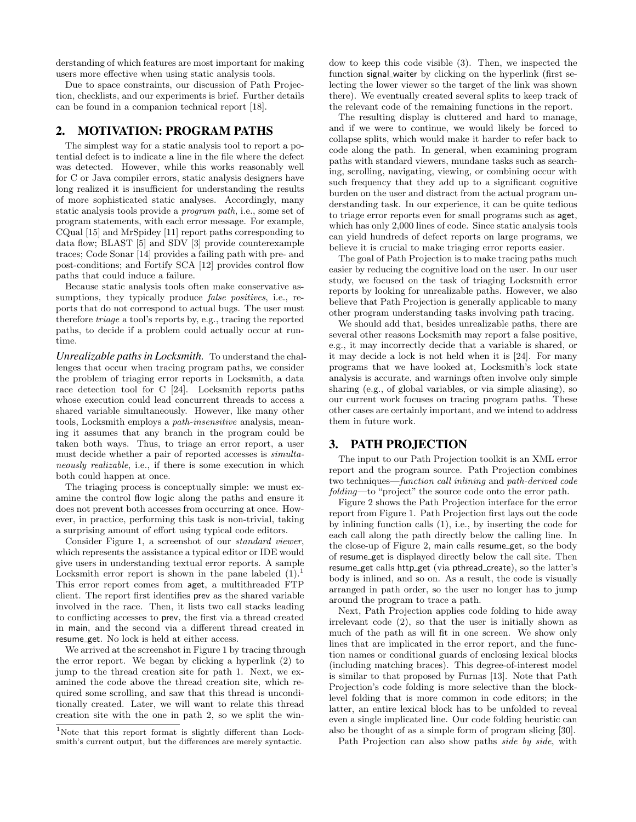derstanding of which features are most important for making users more effective when using static analysis tools.

Due to space constraints, our discussion of Path Projection, checklists, and our experiments is brief. Further details can be found in a companion technical report [18].

## 2. MOTIVATION: PROGRAM PATHS

The simplest way for a static analysis tool to report a potential defect is to indicate a line in the file where the defect was detected. However, while this works reasonably well for C or Java compiler errors, static analysis designers have long realized it is insufficient for understanding the results of more sophisticated static analyses. Accordingly, many static analysis tools provide a program path, i.e., some set of program statements, with each error message. For example, CQual [15] and MrSpidey [11] report paths corresponding to data flow; BLAST [5] and SDV [3] provide counterexample traces; Code Sonar [14] provides a failing path with pre- and post-conditions; and Fortify SCA [12] provides control flow paths that could induce a failure.

Because static analysis tools often make conservative assumptions, they typically produce *false positives*, i.e., reports that do not correspond to actual bugs. The user must therefore triage a tool's reports by, e.g., tracing the reported paths, to decide if a problem could actually occur at runtime.

*Unrealizable paths in Locksmith.* To understand the challenges that occur when tracing program paths, we consider the problem of triaging error reports in Locksmith, a data race detection tool for C [24]. Locksmith reports paths whose execution could lead concurrent threads to access a shared variable simultaneously. However, like many other tools, Locksmith employs a path-insensitive analysis, meaning it assumes that any branch in the program could be taken both ways. Thus, to triage an error report, a user must decide whether a pair of reported accesses is simultaneously realizable, i.e., if there is some execution in which both could happen at once.

The triaging process is conceptually simple: we must examine the control flow logic along the paths and ensure it does not prevent both accesses from occurring at once. However, in practice, performing this task is non-trivial, taking a surprising amount of effort using typical code editors.

Consider Figure 1, a screenshot of our standard viewer, which represents the assistance a typical editor or IDE would give users in understanding textual error reports. A sample Locksmith error report is shown in the pane labeled  $(1).<sup>1</sup>$ This error report comes from aget, a multithreaded FTP client. The report first identifies prev as the shared variable involved in the race. Then, it lists two call stacks leading to conflicting accesses to prev, the first via a thread created in main, and the second via a different thread created in resume get. No lock is held at either access.

We arrived at the screenshot in Figure 1 by tracing through the error report. We began by clicking a hyperlink (2) to jump to the thread creation site for path 1. Next, we examined the code above the thread creation site, which required some scrolling, and saw that this thread is unconditionally created. Later, we will want to relate this thread creation site with the one in path 2, so we split the win-

<sup>1</sup>Note that this report format is slightly different than Locksmith's current output, but the differences are merely syntactic. dow to keep this code visible (3). Then, we inspected the function signal waiter by clicking on the hyperlink (first selecting the lower viewer so the target of the link was shown there). We eventually created several splits to keep track of the relevant code of the remaining functions in the report.

The resulting display is cluttered and hard to manage, and if we were to continue, we would likely be forced to collapse splits, which would make it harder to refer back to code along the path. In general, when examining program paths with standard viewers, mundane tasks such as searching, scrolling, navigating, viewing, or combining occur with such frequency that they add up to a significant cognitive burden on the user and distract from the actual program understanding task. In our experience, it can be quite tedious to triage error reports even for small programs such as aget, which has only 2,000 lines of code. Since static analysis tools can yield hundreds of defect reports on large programs, we believe it is crucial to make triaging error reports easier.

The goal of Path Projection is to make tracing paths much easier by reducing the cognitive load on the user. In our user study, we focused on the task of triaging Locksmith error reports by looking for unrealizable paths. However, we also believe that Path Projection is generally applicable to many other program understanding tasks involving path tracing.

We should add that, besides unrealizable paths, there are several other reasons Locksmith may report a false positive, e.g., it may incorrectly decide that a variable is shared, or it may decide a lock is not held when it is [24]. For many programs that we have looked at, Locksmith's lock state analysis is accurate, and warnings often involve only simple sharing (e.g., of global variables, or via simple aliasing), so our current work focuses on tracing program paths. These other cases are certainly important, and we intend to address them in future work.

# 3. PATH PROJECTION

The input to our Path Projection toolkit is an XML error report and the program source. Path Projection combines two techniques—function call inlining and path-derived code folding—to "project" the source code onto the error path.

Figure 2 shows the Path Projection interface for the error report from Figure 1. Path Projection first lays out the code by inlining function calls (1), i.e., by inserting the code for each call along the path directly below the calling line. In the close-up of Figure 2, main calls resume\_get, so the body of resume get is displayed directly below the call site. Then resume get calls http get (via pthread create), so the latter's body is inlined, and so on. As a result, the code is visually arranged in path order, so the user no longer has to jump around the program to trace a path.

Next, Path Projection applies code folding to hide away irrelevant code (2), so that the user is initially shown as much of the path as will fit in one screen. We show only lines that are implicated in the error report, and the function names or conditional guards of enclosing lexical blocks (including matching braces). This degree-of-interest model is similar to that proposed by Furnas [13]. Note that Path Projection's code folding is more selective than the blocklevel folding that is more common in code editors; in the latter, an entire lexical block has to be unfolded to reveal even a single implicated line. Our code folding heuristic can also be thought of as a simple form of program slicing [30].

Path Projection can also show paths side by side, with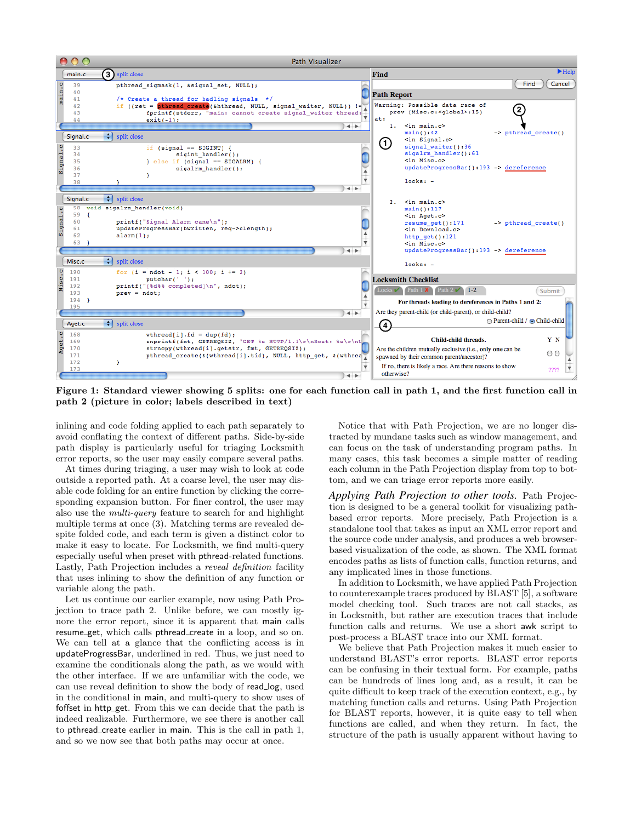

Figure 1: Standard viewer showing 5 splits: one for each function call in path 1, and the first function call in path 2 (picture in color; labels described in text)

inlining and code folding applied to each path separately to avoid conflating the context of different paths. Side-by-side path display is particularly useful for triaging Locksmith error reports, so the user may easily compare several paths.

At times during triaging, a user may wish to look at code outside a reported path. At a coarse level, the user may disable code folding for an entire function by clicking the corresponding expansion button. For finer control, the user may also use the multi-query feature to search for and highlight multiple terms at once (3). Matching terms are revealed despite folded code, and each term is given a distinct color to make it easy to locate. For Locksmith, we find multi-query especially useful when preset with pthread-related functions. Lastly, Path Projection includes a reveal definition facility that uses inlining to show the definition of any function or variable along the path.

Let us continue our earlier example, now using Path Projection to trace path 2. Unlike before, we can mostly ignore the error report, since it is apparent that main calls resume get, which calls pthread create in a loop, and so on. We can tell at a glance that the conflicting access is in updateProgressBar, underlined in red. Thus, we just need to examine the conditionals along the path, as we would with the other interface. If we are unfamiliar with the code, we can use reveal definition to show the body of read log, used in the conditional in main, and multi-query to show uses of foffset in http\_get. From this we can decide that the path is indeed realizable. Furthermore, we see there is another call to pthread create earlier in main. This is the call in path 1, and so we now see that both paths may occur at once.

Notice that with Path Projection, we are no longer distracted by mundane tasks such as window management, and can focus on the task of understanding program paths. In many cases, this task becomes a simple matter of reading each column in the Path Projection display from top to bottom, and we can triage error reports more easily.

*Applying Path Projection to other tools.* Path Projection is designed to be a general toolkit for visualizing pathbased error reports. More precisely, Path Projection is a standalone tool that takes as input an XML error report and the source code under analysis, and produces a web browserbased visualization of the code, as shown. The XML format encodes paths as lists of function calls, function returns, and any implicated lines in those functions.

In addition to Locksmith, we have applied Path Projection to counterexample traces produced by BLAST [5], a software model checking tool. Such traces are not call stacks, as in Locksmith, but rather are execution traces that include function calls and returns. We use a short awk script to post-process a BLAST trace into our XML format.

We believe that Path Projection makes it much easier to understand BLAST's error reports. BLAST error reports can be confusing in their textual form. For example, paths can be hundreds of lines long and, as a result, it can be quite difficult to keep track of the execution context, e.g., by matching function calls and returns. Using Path Projection for BLAST reports, however, it is quite easy to tell when functions are called, and when they return. In fact, the structure of the path is usually apparent without having to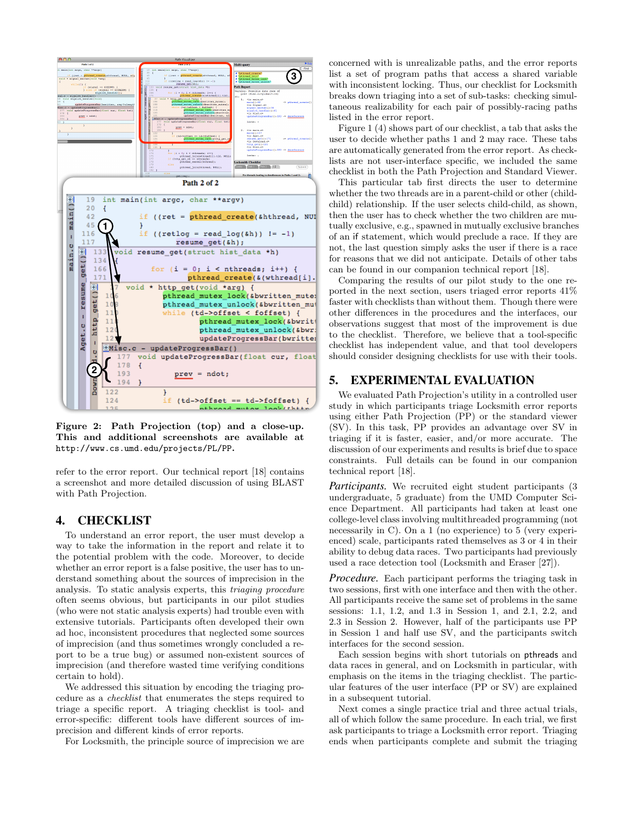

Figure 2: Path Projection (top) and a close-up. This and additional screenshots are available at http://www.cs.umd.edu/projects/PL/PP.

refer to the error report. Our technical report [18] contains a screenshot and more detailed discussion of using BLAST with Path Projection.

#### 4. CHECKLIST

To understand an error report, the user must develop a way to take the information in the report and relate it to the potential problem with the code. Moreover, to decide whether an error report is a false positive, the user has to understand something about the sources of imprecision in the analysis. To static analysis experts, this triaging procedure often seems obvious, but participants in our pilot studies (who were not static analysis experts) had trouble even with extensive tutorials. Participants often developed their own ad hoc, inconsistent procedures that neglected some sources of imprecision (and thus sometimes wrongly concluded a report to be a true bug) or assumed non-existent sources of imprecision (and therefore wasted time verifying conditions certain to hold).

We addressed this situation by encoding the triaging procedure as a checklist that enumerates the steps required to triage a specific report. A triaging checklist is tool- and error-specific: different tools have different sources of imprecision and different kinds of error reports.

For Locksmith, the principle source of imprecision we are

concerned with is unrealizable paths, and the error reports list a set of program paths that access a shared variable with inconsistent locking. Thus, our checklist for Locksmith breaks down triaging into a set of sub-tasks: checking simultaneous realizability for each pair of possibly-racing paths listed in the error report.

Figure 1 (4) shows part of our checklist, a tab that asks the user to decide whether paths 1 and 2 may race. These tabs are automatically generated from the error report. As checklists are not user-interface specific, we included the same checklist in both the Path Projection and Standard Viewer.

This particular tab first directs the user to determine whether the two threads are in a parent-child or other (childchild) relationship. If the user selects child-child, as shown, then the user has to check whether the two children are mutually exclusive, e.g., spawned in mutually exclusive branches of an if statement, which would preclude a race. If they are not, the last question simply asks the user if there is a race for reasons that we did not anticipate. Details of other tabs can be found in our companion technical report [18].

Comparing the results of our pilot study to the one reported in the next section, users triaged error reports 41% faster with checklists than without them. Though there were other differences in the procedures and the interfaces, our observations suggest that most of the improvement is due to the checklist. Therefore, we believe that a tool-specific checklist has independent value, and that tool developers should consider designing checklists for use with their tools.

#### 5. EXPERIMENTAL EVALUATION

We evaluated Path Projection's utility in a controlled user study in which participants triage Locksmith error reports using either Path Projection (PP) or the standard viewer (SV). In this task, PP provides an advantage over SV in triaging if it is faster, easier, and/or more accurate. The discussion of our experiments and results is brief due to space constraints. Full details can be found in our companion technical report [18].

*Participants.* We recruited eight student participants (3 undergraduate, 5 graduate) from the UMD Computer Science Department. All participants had taken at least one college-level class involving multithreaded programming (not necessarily in C). On a 1 (no experience) to 5 (very experienced) scale, participants rated themselves as 3 or 4 in their ability to debug data races. Two participants had previously used a race detection tool (Locksmith and Eraser [27]).

*Procedure.* Each participant performs the triaging task in two sessions, first with one interface and then with the other. All participants receive the same set of problems in the same sessions: 1.1, 1.2, and 1.3 in Session 1, and 2.1, 2.2, and 2.3 in Session 2. However, half of the participants use PP in Session 1 and half use SV, and the participants switch interfaces for the second session.

Each session begins with short tutorials on pthreads and data races in general, and on Locksmith in particular, with emphasis on the items in the triaging checklist. The particular features of the user interface (PP or SV) are explained in a subsequent tutorial.

Next comes a single practice trial and three actual trials, all of which follow the same procedure. In each trial, we first ask participants to triage a Locksmith error report. Triaging ends when participants complete and submit the triaging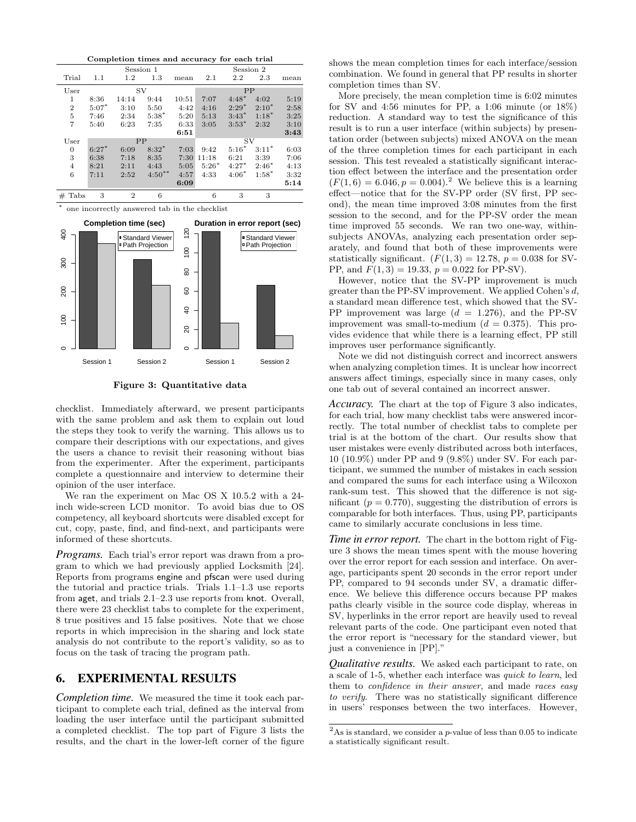Completion times and accuracy for each trial

| Completion times and accuracy for each trial            |           |                |                                               |                |           |                     |                              |      |  |  |  |  |
|---------------------------------------------------------|-----------|----------------|-----------------------------------------------|----------------|-----------|---------------------|------------------------------|------|--|--|--|--|
|                                                         | Session 1 |                |                                               |                | Session 2 |                     |                              |      |  |  |  |  |
| Trial                                                   | 1.1       | 1.2            | 1.3                                           | mean           | 2.1       | 2.2                 | 2.3                          | mean |  |  |  |  |
| User                                                    | <b>SV</b> |                |                                               |                | PP        |                     |                              |      |  |  |  |  |
| $\mathbf{1}$                                            | 8:36      | 14:14          | 9:44                                          | 10:51          | 7:07      | $4:48*$             | 4:02                         | 5:19 |  |  |  |  |
| $\overline{2}$                                          | $5:07*$   | 3:10           | 5:50                                          | 4:42           | 4:16      | $2:29*$             | $2:10*$                      | 2:58 |  |  |  |  |
| $\overline{5}$                                          | 7:46      | 2:34           | $5:38*$                                       | 5:20           | 5:13      | $3:43*$             | $1:18*$                      | 3:25 |  |  |  |  |
| $\overline{7}$                                          | 5:40      | 6:23           | 7:35                                          | 6:33           | 3:05      | $3:53*$             | 2:32                         | 3:10 |  |  |  |  |
|                                                         |           |                |                                               |                |           | 3:43                |                              |      |  |  |  |  |
| User                                                    |           | PP             |                                               |                |           | $\overline{\rm SV}$ |                              |      |  |  |  |  |
| $\overline{0}$                                          | $6:27*$   | 6:09           | $8:32*$                                       | 7:03           | 9:42      | $5:16*$             | $3:11*$                      | 6:03 |  |  |  |  |
| 3                                                       | 6:38      | 7:18           | 8:35                                          | 7:30           | 11:18     | 6:21                | 3:39                         | 7:06 |  |  |  |  |
| $\overline{4}$                                          | 8:21      | 2:11           | 4:43                                          | 5:05           | $5:26*$   | $4:27*$             | $2:46*$                      | 4:13 |  |  |  |  |
| 6                                                       | 7:11      | 2:52           | $4:50**$                                      | 4:57           | 4:33      | $4:06*$             | $1:58*$                      | 3:32 |  |  |  |  |
|                                                         |           |                |                                               | 6:09           |           |                     |                              | 5:14 |  |  |  |  |
| $#$ Tabs                                                | 3         | $\overline{2}$ | 6                                             |                | 6         | 3                   | 3                            |      |  |  |  |  |
| $*$                                                     |           |                | one incorrectly answered tab in the checklist |                |           |                     |                              |      |  |  |  |  |
| Completion time (sec)<br>Duration in error report (sec) |           |                |                                               |                |           |                     |                              |      |  |  |  |  |
| 400                                                     |           |                |                                               |                |           |                     |                              |      |  |  |  |  |
|                                                         |           |                | <b>B</b> Standard Viewer                      |                |           |                     | ■ Standard Viewer            |      |  |  |  |  |
|                                                         |           |                | <sup>n</sup> Path Projection                  | 100 120        |           |                     | <sup>n</sup> Path Projection |      |  |  |  |  |
| 300                                                     |           |                |                                               |                |           |                     |                              |      |  |  |  |  |
|                                                         |           |                |                                               | 80             |           |                     |                              |      |  |  |  |  |
|                                                         |           |                |                                               |                |           |                     |                              |      |  |  |  |  |
|                                                         |           |                |                                               |                |           |                     |                              |      |  |  |  |  |
| 200                                                     |           |                |                                               | 80             |           |                     |                              |      |  |  |  |  |
|                                                         |           |                |                                               |                |           |                     |                              |      |  |  |  |  |
|                                                         |           |                |                                               | $\overline{a}$ |           |                     |                              |      |  |  |  |  |
| 100                                                     |           |                |                                               |                |           |                     |                              |      |  |  |  |  |
|                                                         |           |                |                                               | 20             |           |                     |                              |      |  |  |  |  |



Figure 3: Quantitative data

checklist. Immediately afterward, we present participants with the same problem and ask them to explain out loud the steps they took to verify the warning. This allows us to compare their descriptions with our expectations, and gives the users a chance to revisit their reasoning without bias from the experimenter. After the experiment, participants complete a questionnaire and interview to determine their opinion of the user interface.

We ran the experiment on Mac OS X 10.5.2 with a 24 inch wide-screen LCD monitor. To avoid bias due to OS competency, all keyboard shortcuts were disabled except for cut, copy, paste, find, and find-next, and participants were informed of these shortcuts.

*Programs.* Each trial's error report was drawn from a program to which we had previously applied Locksmith [24]. Reports from programs engine and pfscan were used during the tutorial and practice trials. Trials 1.1–1.3 use reports from aget, and trials 2.1–2.3 use reports from knot. Overall, there were 23 checklist tabs to complete for the experiment, 8 true positives and 15 false positives. Note that we chose reports in which imprecision in the sharing and lock state analysis do not contribute to the report's validity, so as to focus on the task of tracing the program path.

#### 6. EXPERIMENTAL RESULTS

*Completion time.* We measured the time it took each participant to complete each trial, defined as the interval from loading the user interface until the participant submitted a completed checklist. The top part of Figure 3 lists the results, and the chart in the lower-left corner of the figure shows the mean completion times for each interface/session combination. We found in general that PP results in shorter completion times than SV.

More precisely, the mean completion time is 6:02 minutes for SV and 4:56 minutes for PP, a 1:06 minute (or 18%) reduction. A standard way to test the significance of this result is to run a user interface (within subjects) by presentation order (between subjects) mixed ANOVA on the mean of the three completion times for each participant in each session. This test revealed a statistically significant interaction effect between the interface and the presentation order  $(F(1, 6) = 6.046, p = 0.004).$ <sup>2</sup> We believe this is a learning effect—notice that for the SV-PP order (SV first, PP second), the mean time improved 3:08 minutes from the first session to the second, and for the PP-SV order the mean time improved 55 seconds. We ran two one-way, withinsubjects ANOVAs, analyzing each presentation order separately, and found that both of these improvements were statistically significant.  $(F(1, 3) = 12.78, p = 0.038$  for SV-PP, and  $F(1, 3) = 19.33$ ,  $p = 0.022$  for PP-SV).

However, notice that the SV-PP improvement is much greater than the PP-SV improvement. We applied Cohen's d, a standard mean difference test, which showed that the SV-PP improvement was large  $(d = 1.276)$ , and the PP-SV improvement was small-to-medium  $(d = 0.375)$ . This provides evidence that while there is a learning effect, PP still improves user performance significantly.

Note we did not distinguish correct and incorrect answers when analyzing completion times. It is unclear how incorrect answers affect timings, especially since in many cases, only one tab out of several contained an incorrect answer.

*Accuracy.* The chart at the top of Figure 3 also indicates, for each trial, how many checklist tabs were answered incorrectly. The total number of checklist tabs to complete per trial is at the bottom of the chart. Our results show that user mistakes were evenly distributed across both interfaces, 10 (10.9%) under PP and 9 (9.8%) under SV. For each participant, we summed the number of mistakes in each session and compared the sums for each interface using a Wilcoxon rank-sum test. This showed that the difference is not significant ( $p = 0.770$ ), suggesting the distribution of errors is comparable for both interfaces. Thus, using PP, participants came to similarly accurate conclusions in less time.

*Time in error report.* The chart in the bottom right of Figure 3 shows the mean times spent with the mouse hovering over the error report for each session and interface. On average, participants spent 20 seconds in the error report under PP, compared to 94 seconds under SV, a dramatic difference. We believe this difference occurs because PP makes paths clearly visible in the source code display, whereas in SV, hyperlinks in the error report are heavily used to reveal relevant parts of the code. One participant even noted that the error report is "necessary for the standard viewer, but just a convenience in [PP]."

*Qualitative results.* We asked each participant to rate, on a scale of 1-5, whether each interface was quick to learn, led them to confidence in their answer, and made races easy to verify. There was no statistically significant difference in users' responses between the two interfaces. However,

 $2^{2}$ As is standard, we consider a *p*-value of less than 0.05 to indicate a statistically significant result.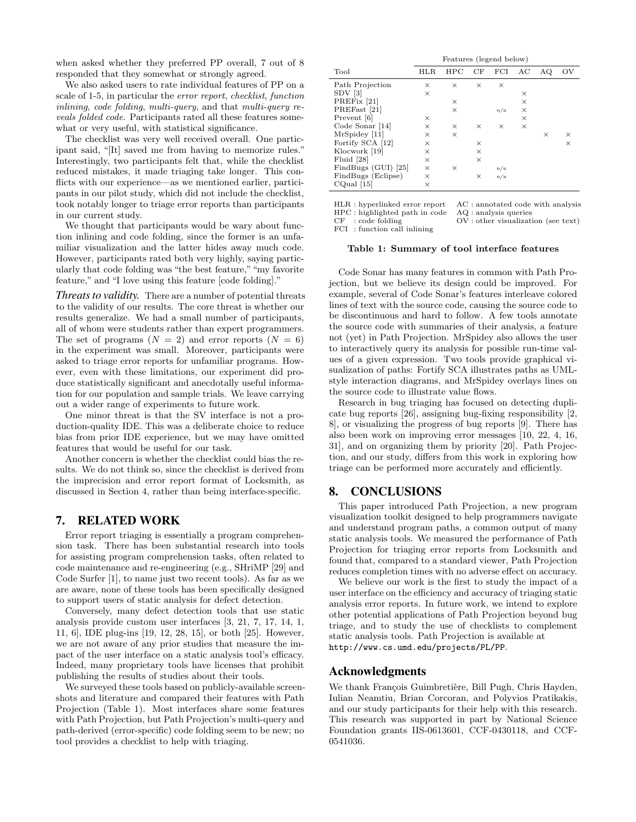when asked whether they preferred PP overall, 7 out of 8 responded that they somewhat or strongly agreed.

We also asked users to rate individual features of PP on a scale of 1-5, in particular the error report, checklist, function inlining, code folding, multi-query, and that multi-query reveals folded code. Participants rated all these features somewhat or very useful, with statistical significance.

The checklist was very well received overall. One participant said, "[It] saved me from having to memorize rules." Interestingly, two participants felt that, while the checklist reduced mistakes, it made triaging take longer. This conflicts with our experience—as we mentioned earlier, participants in our pilot study, which did not include the checklist, took notably longer to triage error reports than participants in our current study.

We thought that participants would be wary about function inlining and code folding, since the former is an unfamiliar visualization and the latter hides away much code. However, participants rated both very highly, saying particularly that code folding was "the best feature," "my favorite feature," and "I love using this feature [code folding]."

*Threats to validity.* There are a number of potential threats to the validity of our results. The core threat is whether our results generalize. We had a small number of participants, all of whom were students rather than expert programmers. The set of programs  $(N = 2)$  and error reports  $(N = 6)$ in the experiment was small. Moreover, participants were asked to triage error reports for unfamiliar programs. However, even with these limitations, our experiment did produce statistically significant and anecdotally useful information for our population and sample trials. We leave carrying out a wider range of experiments to future work.

One minor threat is that the SV interface is not a production-quality IDE. This was a deliberate choice to reduce bias from prior IDE experience, but we may have omitted features that would be useful for our task.

Another concern is whether the checklist could bias the results. We do not think so, since the checklist is derived from the imprecision and error report format of Locksmith, as discussed in Section 4, rather than being interface-specific.

#### 7. RELATED WORK

Error report triaging is essentially a program comprehension task. There has been substantial research into tools for assisting program comprehension tasks, often related to code maintenance and re-engineering (e.g., SHriMP [29] and Code Surfer [1], to name just two recent tools). As far as we are aware, none of these tools has been specifically designed to support users of static analysis for defect detection.

Conversely, many defect detection tools that use static analysis provide custom user interfaces [3, 21, 7, 17, 14, 1, 11, 6], IDE plug-ins [19, 12, 28, 15], or both [25]. However, we are not aware of any prior studies that measure the impact of the user interface on a static analysis tool's efficacy. Indeed, many proprietary tools have licenses that prohibit publishing the results of studies about their tools.

We surveyed these tools based on publicly-available screenshots and literature and compared their features with Path Projection (Table 1). Most interfaces share some features with Path Projection, but Path Projection's multi-query and path-derived (error-specific) code folding seem to be new; no tool provides a checklist to help with triaging.

|                       | Features (legend below) |          |          |          |          |          |          |  |  |  |
|-----------------------|-------------------------|----------|----------|----------|----------|----------|----------|--|--|--|
| Tool                  | <b>HLR</b>              | HPC      | CF       | FCI      | AC       | AQ.      | OV       |  |  |  |
| Path Projection       | X                       | X        | $\times$ | $\times$ |          |          |          |  |  |  |
| $SDV$ [3]             | $\times$                |          |          |          | ×        |          |          |  |  |  |
| PREFix [21]           |                         | $\times$ |          |          | ×        |          |          |  |  |  |
| PREFast [21]          |                         | $\times$ |          | n/a      | $\times$ |          |          |  |  |  |
| Prevent [6]           | $\times$                |          |          |          | ×        |          |          |  |  |  |
| Code Sonar [14]       | $\times$                | $\times$ | $\times$ | $\times$ | $\times$ |          |          |  |  |  |
| MrSpidey [11]         | $\times$                | $\times$ |          |          |          | $\times$ | $\times$ |  |  |  |
| Fortify SCA [12]      | $\times$                |          | $\times$ |          |          |          | ×        |  |  |  |
| Klocwork [19]         | $\times$                |          | $\times$ |          |          |          |          |  |  |  |
| Fluid [28]            | $\times$                |          | $\times$ |          |          |          |          |  |  |  |
| FindBugs $(GUI)$ [25] | $\times$                | $\times$ |          | n/a      |          |          |          |  |  |  |
| FindBugs (Eclipse)    | $\times$                |          | ×        | n/a      |          |          |          |  |  |  |
| CQual [15]            | $\times$                |          |          |          |          |          |          |  |  |  |

HLR : hyperlinked error report AC : annotated code with analysis

FCI : function call inlining

HPC : highlighted path in code  $AQ$  : analysis queries<br>CF : code folding  $OV$  : other visualizat

OV : other visualization (see text)

#### Table 1: Summary of tool interface features

Code Sonar has many features in common with Path Projection, but we believe its design could be improved. For example, several of Code Sonar's features interleave colored lines of text with the source code, causing the source code to be discontinuous and hard to follow. A few tools annotate the source code with summaries of their analysis, a feature not (yet) in Path Projection. MrSpidey also allows the user to interactively query its analysis for possible run-time values of a given expression. Two tools provide graphical visualization of paths: Fortify SCA illustrates paths as UMLstyle interaction diagrams, and MrSpidey overlays lines on the source code to illustrate value flows.

Research in bug triaging has focused on detecting duplicate bug reports [26], assigning bug-fixing responsibility [2, 8], or visualizing the progress of bug reports [9]. There has also been work on improving error messages [10, 22, 4, 16, 31], and on organizing them by priority [20]. Path Projection, and our study, differs from this work in exploring how triage can be performed more accurately and efficiently.

## 8. CONCLUSIONS

This paper introduced Path Projection, a new program visualization toolkit designed to help programmers navigate and understand program paths, a common output of many static analysis tools. We measured the performance of Path Projection for triaging error reports from Locksmith and found that, compared to a standard viewer, Path Projection reduces completion times with no adverse effect on accuracy.

We believe our work is the first to study the impact of a user interface on the efficiency and accuracy of triaging static analysis error reports. In future work, we intend to explore other potential applications of Path Projection beyond bug triage, and to study the use of checklists to complement static analysis tools. Path Projection is available at http://www.cs.umd.edu/projects/PL/PP.

#### Acknowledgments

We thank François Guimbretière, Bill Pugh, Chris Hayden, Iulian Neamtiu, Brian Corcoran, and Polyvios Pratikakis, and our study participants for their help with this research. This research was supported in part by National Science Foundation grants IIS-0613601, CCF-0430118, and CCF-0541036.